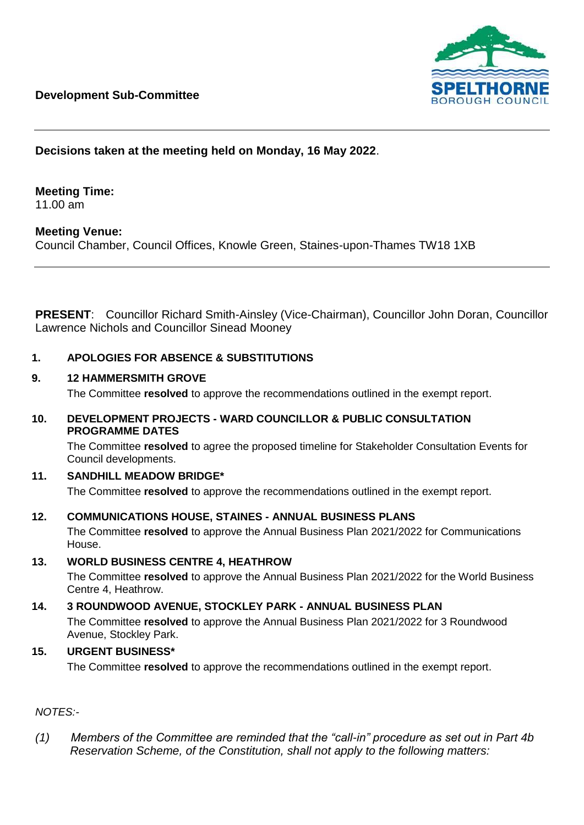

# **Decisions taken at the meeting held on Monday, 16 May 2022**.

# **Meeting Time:**

11.00 am

## **Meeting Venue:**

Council Chamber, Council Offices, Knowle Green, Staines-upon-Thames TW18 1XB

**PRESENT**: Councillor Richard Smith-Ainsley (Vice-Chairman), Councillor John Doran, Councillor Lawrence Nichols and Councillor Sinead Mooney

### **1. APOLOGIES FOR ABSENCE & SUBSTITUTIONS**

#### **9. 12 HAMMERSMITH GROVE**

The Committee **resolved** to approve the recommendations outlined in the exempt report.

#### **10. DEVELOPMENT PROJECTS - WARD COUNCILLOR & PUBLIC CONSULTATION PROGRAMME DATES**

The Committee **resolved** to agree the proposed timeline for Stakeholder Consultation Events for Council developments.

#### **11. SANDHILL MEADOW BRIDGE\***

The Committee **resolved** to approve the recommendations outlined in the exempt report.

#### **12. COMMUNICATIONS HOUSE, STAINES - ANNUAL BUSINESS PLANS**

The Committee **resolved** to approve the Annual Business Plan 2021/2022 for Communications House.

#### **13. WORLD BUSINESS CENTRE 4, HEATHROW**

The Committee **resolved** to approve the Annual Business Plan 2021/2022 for the World Business Centre 4, Heathrow.

#### **14. 3 ROUNDWOOD AVENUE, STOCKLEY PARK - ANNUAL BUSINESS PLAN**

The Committee **resolved** to approve the Annual Business Plan 2021/2022 for 3 Roundwood Avenue, Stockley Park.

### **15. URGENT BUSINESS\***

The Committee **resolved** to approve the recommendations outlined in the exempt report.

## *NOTES:-*

*(1) Members of the Committee are reminded that the "call-in" procedure as set out in Part 4b Reservation Scheme, of the Constitution, shall not apply to the following matters:*